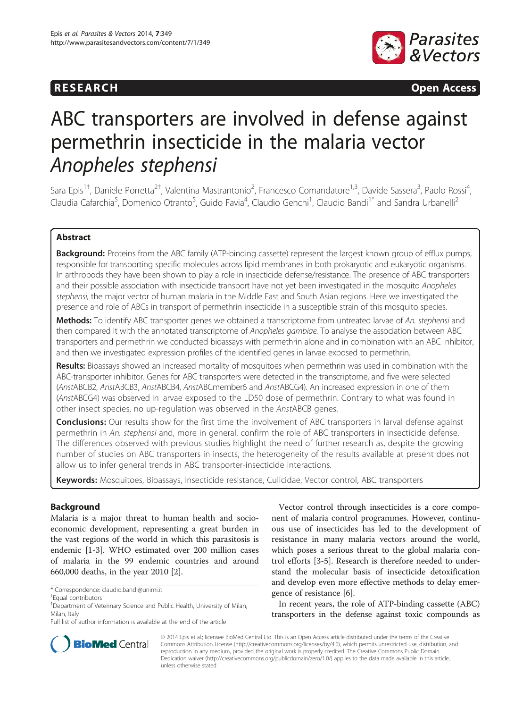



# ABC transporters are involved in defense against permethrin insecticide in the malaria vector Anopheles stephensi

Sara Epis<sup>1†</sup>, Daniele Porretta<sup>2†</sup>, Valentina Mastrantonio<sup>2</sup>, Francesco Comandatore<sup>1,3</sup>, Davide Sassera<sup>3</sup>, Paolo Rossi<sup>4</sup> , Claudia Cafarchia<sup>5</sup>, Domenico Otranto<sup>5</sup>, Guido Favia<sup>4</sup>, Claudio Genchi<sup>1</sup>, Claudio Bandi<sup>1\*</sup> and Sandra Urbanelli<sup>2</sup>

# Abstract

Background: Proteins from the ABC family (ATP-binding cassette) represent the largest known group of efflux pumps, responsible for transporting specific molecules across lipid membranes in both prokaryotic and eukaryotic organisms. In arthropods they have been shown to play a role in insecticide defense/resistance. The presence of ABC transporters and their possible association with insecticide transport have not yet been investigated in the mosquito Anopheles stephensi, the major vector of human malaria in the Middle East and South Asian regions. Here we investigated the presence and role of ABCs in transport of permethrin insecticide in a susceptible strain of this mosquito species.

Methods: To identify ABC transporter genes we obtained a transcriptome from untreated larvae of An. stephensi and then compared it with the annotated transcriptome of Anopheles gambiae. To analyse the association between ABC transporters and permethrin we conducted bioassays with permethrin alone and in combination with an ABC inhibitor, and then we investigated expression profiles of the identified genes in larvae exposed to permethrin.

Results: Bioassays showed an increased mortality of mosquitoes when permethrin was used in combination with the ABC-transporter inhibitor. Genes for ABC transporters were detected in the transcriptome, and five were selected (AnstABCB2, AnstABCB3, AnstABCB4, AnstABCmember6 and AnstABCG4). An increased expression in one of them (AnstABCG4) was observed in larvae exposed to the LD50 dose of permethrin. Contrary to what was found in other insect species, no up-regulation was observed in the AnstABCB genes.

**Conclusions:** Our results show for the first time the involvement of ABC transporters in larval defense against permethrin in An. stephensi and, more in general, confirm the role of ABC transporters in insecticide defense. The differences observed with previous studies highlight the need of further research as, despite the growing number of studies on ABC transporters in insects, the heterogeneity of the results available at present does not allow us to infer general trends in ABC transporter-insecticide interactions.

Keywords: Mosquitoes, Bioassays, Insecticide resistance, Culicidae, Vector control, ABC transporters

# Background

Malaria is a major threat to human health and socioeconomic development, representing a great burden in the vast regions of the world in which this parasitosis is endemic [[1-3](#page-5-0)]. WHO estimated over 200 million cases of malaria in the 99 endemic countries and around 660,000 deaths, in the year 2010 [\[2\]](#page-5-0).

Vector control through insecticides is a core component of malaria control programmes. However, continuous use of insecticides has led to the development of resistance in many malaria vectors around the world, which poses a serious threat to the global malaria control efforts [\[3](#page-5-0)-[5\]](#page-5-0). Research is therefore needed to understand the molecular basis of insecticide detoxification and develop even more effective methods to delay emergence of resistance [\[6\]](#page-5-0).

In recent years, the role of ATP-binding cassette (ABC) transporters in the defense against toxic compounds as



© 2014 Epis et al.; licensee BioMed Central Ltd. This is an Open Access article distributed under the terms of the Creative Commons Attribution License [\(http://creativecommons.org/licenses/by/4.0\)](http://creativecommons.org/licenses/by/4.0), which permits unrestricted use, distribution, and reproduction in any medium, provided the original work is properly credited. The Creative Commons Public Domain Dedication waiver [\(http://creativecommons.org/publicdomain/zero/1.0/](http://creativecommons.org/publicdomain/zero/1.0/)) applies to the data made available in this article, unless otherwise stated.

<sup>\*</sup> Correspondence: [claudio.bandi@unimi.it](mailto:claudio.bandi@unimi.it) †

Equal contributors

<sup>&</sup>lt;sup>1</sup>Department of Veterinary Science and Public Health, University of Milan, Milan, Italy

Full list of author information is available at the end of the article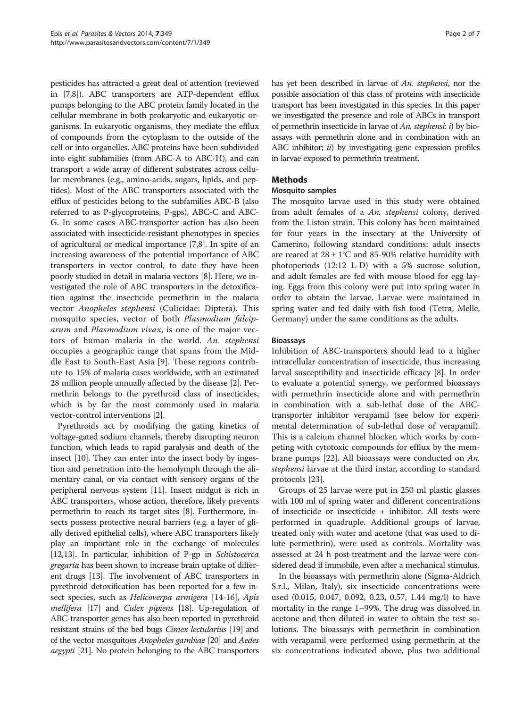pesticides has attracted a great deal of attention (reviewed in [[7,8](#page-5-0)]). ABC transporters are ATP-dependent efflux pumps belonging to the ABC protein family located in the cellular membrane in both prokaryotic and eukaryotic organisms. In eukaryotic organisms, they mediate the efflux of compounds from the cytoplasm to the outside of the cell or into organelles. ABC proteins have been subdivided into eight subfamilies (from ABC-A to ABC-H), and can transport a wide array of different substrates across cellular membranes (e.g., amino-acids, sugars, lipids, and peptides). Most of the ABC transporters associated with the efflux of pesticides belong to the subfamilies ABC-B (also referred to as P-glycoproteins, P-gps), ABC-C and ABC-G. In some cases ABC-transporter action has also been associated with insecticide-resistant phenotypes in species of agricultural or medical importance [\[7,8](#page-5-0)]. In spite of an increasing awareness of the potential importance of ABC transporters in vector control, to date they have been poorly studied in detail in malaria vectors [\[8](#page-5-0)]. Here, we investigated the role of ABC transporters in the detoxification against the insecticide permethrin in the malaria vector Anopheles stephensi (Culicidae: Diptera). This mosquito species, vector of both Plasmodium falciparum and Plasmodium vivax, is one of the major vectors of human malaria in the world. An. stephensi occupies a geographic range that spans from the Middle East to South-East Asia [[9](#page-5-0)]. These regions contribute to 15% of malaria cases worldwide, with an estimated 28 million people annually affected by the disease [\[2](#page-5-0)]. Permethrin belongs to the pyrethroid class of insecticides, which is by far the most commonly used in malaria vector-control interventions [[2\]](#page-5-0).

Pyrethroids act by modifying the gating kinetics of voltage-gated sodium channels, thereby disrupting neuron function, which leads to rapid paralysis and death of the insect [\[10](#page-5-0)]. They can enter into the insect body by ingestion and penetration into the hemolymph through the alimentary canal, or via contact with sensory organs of the peripheral nervous system [\[11\]](#page-5-0). Insect midgut is rich in ABC transporters, whose action, therefore, likely prevents permethrin to reach its target sites [\[8](#page-5-0)]. Furthermore, insects possess protective neural barriers (e.g. a layer of glially derived epithelial cells), where ABC transporters likely play an important role in the exchange of molecules [[12,13](#page-5-0)]. In particular, inhibition of P-gp in Schistocerca gregaria has been shown to increase brain uptake of different drugs [[13](#page-5-0)]. The involvement of ABC transporters in pyrethroid detoxification has been reported for a few in-sect species, such as Helicoverpa armigera [\[14](#page-5-0)-[16](#page-5-0)], Apis mellifera [[17\]](#page-5-0) and Culex pipiens [\[18](#page-5-0)]. Up-regulation of ABC-transporter genes has also been reported in pyrethroid resistant strains of the bed bugs Cimex lectularius [\[19\]](#page-5-0) and of the vector mosquitoes Anopheles gambiae [\[20](#page-5-0)] and Aedes aegypti [\[21](#page-5-0)]. No protein belonging to the ABC transporters has yet been described in larvae of An. stephensi, nor the possible association of this class of proteins with insecticide transport has been investigated in this species. In this paper we investigated the presence and role of ABCs in transport of permethrin insecticide in larvae of An. stephensi:  $i$ ) by bioassays with permethrin alone and in combination with an ABC inhibitor;  $ii)$  by investigating gene expression profiles in larvae exposed to permethrin treatment.

# **Methods**

# Mosquito samples

The mosquito larvae used in this study were obtained from adult females of a An. stephensi colony, derived from the Liston strain. This colony has been maintained for four years in the insectary at the University of Camerino, following standard conditions: adult insects are reared at  $28 \pm 1^{\circ}$ C and 85-90% relative humidity with photoperiods (12:12 L-D) with a 5% sucrose solution, and adult females are fed with mouse blood for egg laying. Eggs from this colony were put into spring water in order to obtain the larvae. Larvae were maintained in spring water and fed daily with fish food (Tetra, Melle, Germany) under the same conditions as the adults.

# Bioassays

Inhibition of ABC-transporters should lead to a higher intracellular concentration of insecticide, thus increasing larval susceptibility and insecticide efficacy [\[8\]](#page-5-0). In order to evaluate a potential synergy, we performed bioassays with permethrin insecticide alone and with permethrin in combination with a sub-lethal dose of the ABCtransporter inhibitor verapamil (see below for experimental determination of sub-lethal dose of verapamil). This is a calcium channel blocker, which works by competing with cytotoxic compounds for efflux by the membrane pumps [[22\]](#page-6-0). All bioassays were conducted on An. stephensi larvae at the third instar, according to standard protocols [[23\]](#page-6-0).

Groups of 25 larvae were put in 250 ml plastic glasses with 100 ml of spring water and different concentrations of insecticide or insecticide + inhibitor. All tests were performed in quadruple. Additional groups of larvae, treated only with water and acetone (that was used to dilute permethrin), were used as controls. Mortality was assessed at 24 h post-treatment and the larvae were considered dead if immobile, even after a mechanical stimulus.

In the bioassays with permethrin alone (Sigma-Aldrich S.r.l., Milan, Italy), six insecticide concentrations were used (0.015, 0.047, 0.092, 0.23, 0.57, 1.44 mg/l) to have mortality in the range 1–99%. The drug was dissolved in acetone and then diluted in water to obtain the test solutions. The bioassays with permethrin in combination with verapamil were performed using permethrin at the six concentrations indicated above, plus two additional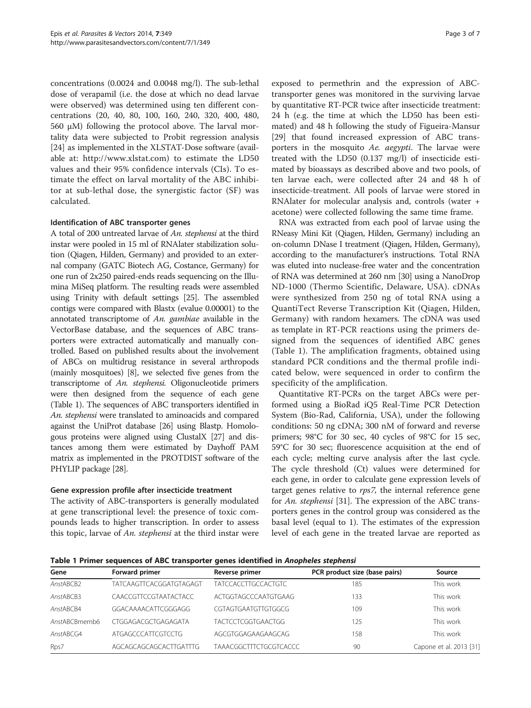concentrations (0.0024 and 0.0048 mg/l). The sub-lethal dose of verapamil (i.e. the dose at which no dead larvae were observed) was determined using ten different concentrations (20, 40, 80, 100, 160, 240, 320, 400, 480, 560 μM) following the protocol above. The larval mortality data were subjected to Probit regression analysis [[24\]](#page-6-0) as implemented in the XLSTAT-Dose software (available at: [http://www.xlstat.com\)](http://www.xlstat.com) to estimate the LD50 values and their 95% confidence intervals (CIs). To estimate the effect on larval mortality of the ABC inhibitor at sub-lethal dose, the synergistic factor (SF) was calculated.

## Identification of ABC transporter genes

A total of 200 untreated larvae of An. stephensi at the third instar were pooled in 15 ml of RNAlater stabilization solution (Qiagen, Hilden, Germany) and provided to an external company (GATC Biotech AG, Costance, Germany) for one run of 2x250 paired-ends reads sequencing on the Illumina MiSeq platform. The resulting reads were assembled using Trinity with default settings [[25](#page-6-0)]. The assembled contigs were compared with Blastx (evalue 0.00001) to the annotated transcriptome of An. gambiae available in the VectorBase database, and the sequences of ABC transporters were extracted automatically and manually controlled. Based on published results about the involvement of ABCs on multidrug resistance in several arthropods (mainly mosquitoes) [[8\]](#page-5-0), we selected five genes from the transcriptome of An. stephensi. Oligonucleotide primers were then designed from the sequence of each gene (Table 1). The sequences of ABC transporters identified in An. stephensi were translated to aminoacids and compared against the UniProt database [[26](#page-6-0)] using Blastp. Homologous proteins were aligned using ClustalX [[27](#page-6-0)] and distances among them were estimated by Dayhoff PAM matrix as implemented in the PROTDIST software of the PHYLIP package [\[28\]](#page-6-0).

## Gene expression profile after insecticide treatment

The activity of ABC-transporters is generally modulated at gene transcriptional level: the presence of toxic compounds leads to higher transcription. In order to assess this topic, larvae of An. stephensi at the third instar were

exposed to permethrin and the expression of ABCtransporter genes was monitored in the surviving larvae by quantitative RT-PCR twice after insecticide treatment: 24 h (e.g. the time at which the LD50 has been estimated) and 48 h following the study of Figueira-Mansur [[29\]](#page-6-0) that found increased expression of ABC transporters in the mosquito Ae. aegypti. The larvae were treated with the LD50 (0.137 mg/l) of insecticide estimated by bioassays as described above and two pools, of ten larvae each, were collected after 24 and 48 h of insecticide-treatment. All pools of larvae were stored in RNAlater for molecular analysis and, controls (water + acetone) were collected following the same time frame.

RNA was extracted from each pool of larvae using the RNeasy Mini Kit (Qiagen, Hilden, Germany) including an on-column DNase I treatment (Qiagen, Hilden, Germany), according to the manufacturer's instructions. Total RNA was eluted into nuclease-free water and the concentration of RNA was determined at 260 nm [[30](#page-6-0)] using a NanoDrop ND-1000 (Thermo Scientific, Delaware, USA). cDNAs were synthesized from 250 ng of total RNA using a QuantiTect Reverse Transcription Kit (Qiagen, Hilden, Germany) with random hexamers. The cDNA was used as template in RT-PCR reactions using the primers designed from the sequences of identified ABC genes (Table 1). The amplification fragments, obtained using standard PCR conditions and the thermal profile indicated below, were sequenced in order to confirm the specificity of the amplification.

Quantitative RT-PCRs on the target ABCs were performed using a BioRad iQ5 Real-Time PCR Detection System (Bio-Rad, California, USA), under the following conditions: 50 ng cDNA; 300 nM of forward and reverse primers; 98°C for 30 sec, 40 cycles of 98°C for 15 sec, 59°C for 30 sec; fluorescence acquisition at the end of each cycle; melting curve analysis after the last cycle. The cycle threshold (Ct) values were determined for each gene, in order to calculate gene expression levels of target genes relative to rps7, the internal reference gene for An. stephensi [[31\]](#page-6-0). The expression of the ABC transporters genes in the control group was considered as the basal level (equal to 1). The estimates of the expression level of each gene in the treated larvae are reported as

Table 1 Primer sequences of ABC transporter genes identified in Anopheles stephensi

| Gene          | Forward primer                 | Reverse primer             | PCR product size (base pairs) | Source                  |
|---------------|--------------------------------|----------------------------|-------------------------------|-------------------------|
| AnstABCB2     | <b>TATCAAGTTCACGGATGTAGAGT</b> | <b>TATCCACCTTGCCACTGTC</b> | 185                           | This work               |
| AnstABCB3     | CAACCGTTCCGTAATACTACC          | ACTGGTAGCCCAATGTGAAG       | 133                           | This work               |
| AnstABCB4     | GGACAAAACATTCGGGAGG            | CGTAGTGAATGTTGTGGCG        | 109                           | This work               |
| AnstABCBmemb6 | CTGGAGACGCTGAGAGATA            | TACTCCTCGGTGAACTGG         | 125                           | This work               |
| AnstABCG4     | ATGAGCCCATTCGTCCTG             | AGCGTGGAGAAGAAGCAG         | 158                           | This work               |
| Rps7          | AGCAGCAGCAGCACTTGATTTG         | TAAACGGCTTTCTGCGTCACCC     | 90                            | Capone et al. 2013 [31] |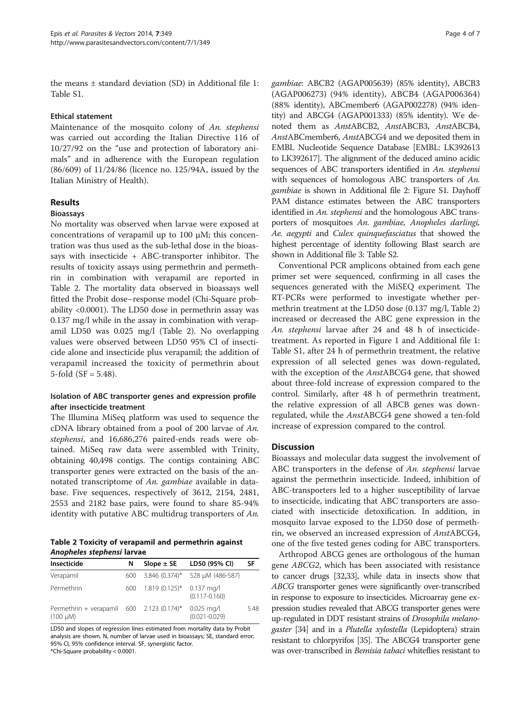the means ± standard deviation (SD) in Additional file [1](#page-5-0): Table S1.

## Ethical statement

Maintenance of the mosquito colony of An. stephensi was carried out according the Italian Directive 116 of 10/27/92 on the "use and protection of laboratory animals" and in adherence with the European regulation (86/609) of 11/24/86 (licence no. 125/94A, issued by the Italian Ministry of Health).

# Results

## Bioassays

No mortality was observed when larvae were exposed at concentrations of verapamil up to 100  $\mu$ M; this concentration was thus used as the sub-lethal dose in the bioassays with insecticide + ABC-transporter inhibitor. The results of toxicity assays using permethrin and permethrin in combination with verapamil are reported in Table 2. The mortality data observed in bioassays well fitted the Probit dose–response model (Chi-Square probability <0.0001). The LD50 dose in permethrin assay was 0.137 mg/l while in the assay in combination with verapamil LD50 was 0.025 mg/l (Table 2). No overlapping values were observed between LD50 95% CI of insecticide alone and insecticide plus verapamil; the addition of verapamil increased the toxicity of permethrin about 5-fold  $(SF = 5.48)$ .

# Isolation of ABC transporter genes and expression profile after insecticide treatment

The Illumina MiSeq platform was used to sequence the cDNA library obtained from a pool of 200 larvae of An. stephensi, and 16,686,276 paired-ends reads were obtained. MiSeq raw data were assembled with Trinity, obtaining 40,498 contigs. The contigs containing ABC transporter genes were extracted on the basis of the annotated transcriptome of An. gambiae available in database. Five sequences, respectively of 3612, 2154, 2481, 2553 and 2182 base pairs, were found to share 85-94% identity with putative ABC multidrug transporters of An.

Table 2 Toxicity of verapamil and permethrin against Anopheles stephensi larvae

| Insecticide                                                           | N    | Slope $\pm$ SE            | LD50 (95% CI)                   | SF   |
|-----------------------------------------------------------------------|------|---------------------------|---------------------------------|------|
| Verapamil                                                             | 600. |                           | 3.846 (0.374)* 528 µM (486-587) |      |
| Permethrin                                                            | 600. | 1.819 (0.125)* 0.137 mg/l | $(0.117 - 0.160)$               |      |
| Permethrin + verapamil 600 2.123 (0.174)* 0.025 mg/l<br>$(100 \mu M)$ |      |                           | $(0.021 - 0.029)$               | 5.48 |

LD50 and slopes of regression lines estimated from mortality data by Probit analysis are shown. N, number of larvae used in bioassays; SE, standard error; 95% CI, 95% confidence interval. SF, synergistic factor.

\*Chi-Square probability < 0.0001.

gambiae: ABCB2 (AGAP005639) (85% identity), ABCB3 (AGAP006273) (94% identity), ABCB4 (AGAP006364) (88% identity), ABCmember6 (AGAP002278) (94% identity) and ABCG4 (AGAP001333) (85% identity). We denoted them as AnstABCB2, AnstABCB3, AnstABCB4, AnstABCmember6, AnstABCG4 and we deposited them in EMBL Nucleotide Sequence Database [EMBL: LK392613 to LK392617]. The alignment of the deduced amino acidic sequences of ABC transporters identified in An. stephensi with sequences of homologous ABC transporters of An. gambiae is shown in Additional file [2:](#page-5-0) Figure S1. Dayhoff PAM distance estimates between the ABC transporters identified in An. stephensi and the homologous ABC transporters of mosquitoes An. gambiae, Anopheles darlingi, Ae. aegypti and Culex quinquefasciatus that showed the highest percentage of identity following Blast search are shown in Additional file [3:](#page-5-0) Table S2.

Conventional PCR amplicons obtained from each gene primer set were sequenced, confirming in all cases the sequences generated with the MiSEQ experiment. The RT-PCRs were performed to investigate whether permethrin treatment at the LD50 dose (0.137 mg/l, Table 2) increased or decreased the ABC gene expression in the An. stephensi larvae after 24 and 48 h of insecticidetreatment. As reported in Figure [1](#page-4-0) and Additional file [1](#page-5-0): Table S1, after 24 h of permethrin treatment, the relative expression of all selected genes was down-regulated, with the exception of the AnstABCG4 gene, that showed about three-fold increase of expression compared to the control. Similarly, after 48 h of permethrin treatment, the relative expression of all ABCB genes was downregulated, while the AnstABCG4 gene showed a ten-fold increase of expression compared to the control.

# **Discussion**

Bioassays and molecular data suggest the involvement of ABC transporters in the defense of An. *stephensi* larvae against the permethrin insecticide. Indeed, inhibition of ABC-transporters led to a higher susceptibility of larvae to insecticide, indicating that ABC transporters are associated with insecticide detoxification. In addition, in mosquito larvae exposed to the LD50 dose of permethrin, we observed an increased expression of AnstABCG4, one of the five tested genes coding for ABC transporters.

Arthropod ABCG genes are orthologous of the human gene ABCG2, which has been associated with resistance to cancer drugs [\[32,33\]](#page-6-0), while data in insects show that ABCG transporter genes were significantly over-transcribed in response to exposure to insecticides. Microarray gene expression studies revealed that ABCG transporter genes were up-regulated in DDT resistant strains of Drosophila melanogaster [\[34](#page-6-0)] and in a Plutella xylostella (Lepidoptera) strain resistant to chlorpyrifos [[35\]](#page-6-0). The ABCG4 transporter gene was over-transcribed in Bemisia tabaci whiteflies resistant to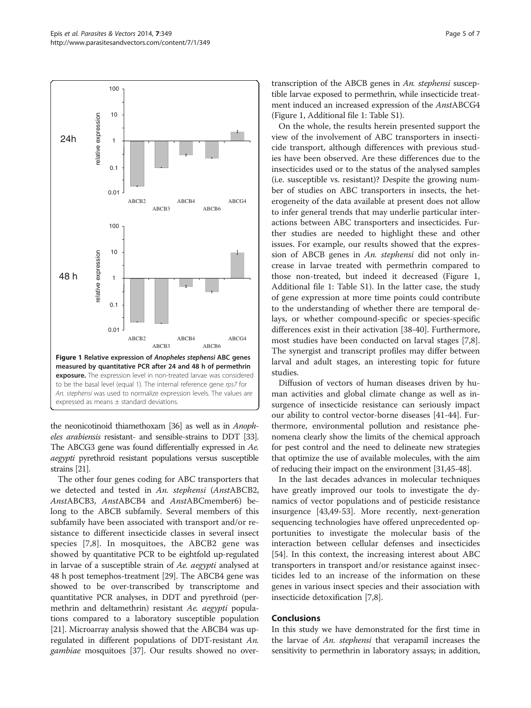<span id="page-4-0"></span>

the neonicotinoid thiamethoxam [\[36\]](#page-6-0) as well as in Anopheles arabiensis resistant- and sensible-strains to DDT [\[33\]](#page-6-0). The ABCG3 gene was found differentially expressed in Ae. aegypti pyrethroid resistant populations versus susceptible strains [\[21\]](#page-5-0).

The other four genes coding for ABC transporters that we detected and tested in An. stephensi (AnstABCB2, AnstABCB3, AnstABCB4 and AnstABCmember6) belong to the ABCB subfamily. Several members of this subfamily have been associated with transport and/or resistance to different insecticide classes in several insect species [[7,8](#page-5-0)]. In mosquitoes, the ABCB2 gene was showed by quantitative PCR to be eightfold up-regulated in larvae of a susceptible strain of Ae. aegypti analysed at 48 h post temephos-treatment [[29](#page-6-0)]. The ABCB4 gene was showed to be over-transcribed by transcriptome and quantitative PCR analyses, in DDT and pyrethroid (permethrin and deltamethrin) resistant Ae. aegypti populations compared to a laboratory susceptible population [[21](#page-5-0)]. Microarray analysis showed that the ABCB4 was upregulated in different populations of DDT-resistant An. gambiae mosquitoes [[37](#page-6-0)]. Our results showed no overtranscription of the ABCB genes in An. stephensi susceptible larvae exposed to permethrin, while insecticide treatment induced an increased expression of the AnstABCG4 (Figure 1, Additional file [1:](#page-5-0) Table S1).

On the whole, the results herein presented support the view of the involvement of ABC transporters in insecticide transport, although differences with previous studies have been observed. Are these differences due to the insecticides used or to the status of the analysed samples (i.e. susceptible vs. resistant)? Despite the growing number of studies on ABC transporters in insects, the heterogeneity of the data available at present does not allow to infer general trends that may underlie particular interactions between ABC transporters and insecticides. Further studies are needed to highlight these and other issues. For example, our results showed that the expression of ABCB genes in An. stephensi did not only increase in larvae treated with permethrin compared to those non-treated, but indeed it decreased (Figure 1, Additional file [1:](#page-5-0) Table S1). In the latter case, the study of gene expression at more time points could contribute to the understanding of whether there are temporal delays, or whether compound-specific or species-specific differences exist in their activation [[38-40\]](#page-6-0). Furthermore, most studies have been conducted on larval stages [\[7,8](#page-5-0)]. The synergist and transcript profiles may differ between larval and adult stages, an interesting topic for future studies.

Diffusion of vectors of human diseases driven by human activities and global climate change as well as insurgence of insecticide resistance can seriously impact our ability to control vector-borne diseases [\[41](#page-6-0)-[44](#page-6-0)]. Furthermore, environmental pollution and resistance phenomena clearly show the limits of the chemical approach for pest control and the need to delineate new strategies that optimize the use of available molecules, with the aim of reducing their impact on the environment [\[31,45-48\]](#page-6-0).

In the last decades advances in molecular techniques have greatly improved our tools to investigate the dynamics of vector populations and of pesticide resistance insurgence [\[43,49-53](#page-6-0)]. More recently, next-generation sequencing technologies have offered unprecedented opportunities to investigate the molecular basis of the interaction between cellular defenses and insecticides [[54\]](#page-6-0). In this context, the increasing interest about ABC transporters in transport and/or resistance against insecticides led to an increase of the information on these genes in various insect species and their association with insecticide detoxification [\[7](#page-5-0),[8](#page-5-0)].

# Conclusions

In this study we have demonstrated for the first time in the larvae of An. stephensi that verapamil increases the sensitivity to permethrin in laboratory assays; in addition,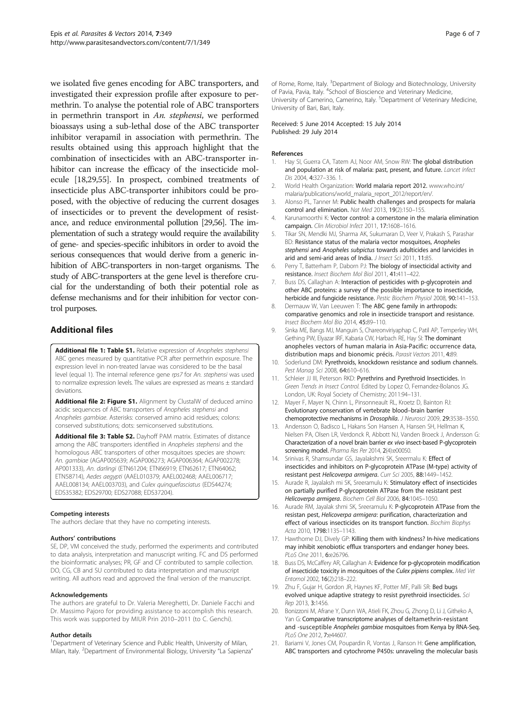<span id="page-5-0"></span>we isolated five genes encoding for ABC transporters, and investigated their expression profile after exposure to permethrin. To analyse the potential role of ABC transporters in permethrin transport in An. stephensi, we performed bioassays using a sub-lethal dose of the ABC transporter inhibitor verapamil in association with permethrin. The results obtained using this approach highlight that the combination of insecticides with an ABC-transporter inhibitor can increase the efficacy of the insecticide molecule [18[,29,55\]](#page-6-0). In prospect, combined treatments of insecticide plus ABC-transporter inhibitors could be proposed, with the objective of reducing the current dosages of insecticides or to prevent the development of resistance, and reduce environmental pollution [\[29,56](#page-6-0)]. The implementation of such a strategy would require the availability of gene- and species-specific inhibitors in order to avoid the serious consequences that would derive from a generic inhibition of ABC-transporters in non-target organisms. The study of ABC-transporters at the gene level is therefore crucial for the understanding of both their potential role as defense mechanisms and for their inhibition for vector control purposes.

# Additional files

[Additional file 1: Table S1.](http://www.biomedcentral.com/content/supplementary/1756-3305-7-349-S1.doc) Relative expression of Anopheles stephensi ABC genes measured by quantitative PCR after permethrin exposure. The expression level in non-treated larvae was considered to be the basal level (equal 1). The internal reference gene rps7 for An. stephensi was used to normalize expression levels. The values are expressed as means ± standard deviations.

[Additional file 2: Figure S1.](http://www.biomedcentral.com/content/supplementary/1756-3305-7-349-S2.pdf) Alignment by ClustalW of deduced amino acidic sequences of ABC transporters of Anopheles stephensi and Anopheles gambiae. Asterisks: conserved amino acid residues; colons: conserved substitutions; dots: semiconserved substitutions.

[Additional file 3: Table S2.](http://www.biomedcentral.com/content/supplementary/1756-3305-7-349-S3.doc) Dayhoff PAM matrix. Estimates of distance among the ABC transporters identified in Anopheles stephensi and the homologous ABC transporters of other mosquitoes species are shown: An. gambiae (AGAP005639; AGAP006273; AGAP006364; AGAP002278; AP001333), An. darlingi (ETN61204; ETN66919; ETN62617; ETN64062; ETN58714), Aedes aegypti (AAEL010379; AAEL002468; AAEL006717; AAEL008134; AAEL003703), and Culex quinquefasciatus (EDS44274; EDS35382; EDS29700; EDS27088; EDS37204).

### Competing interests

The authors declare that they have no competing interests.

### Authors' contributions

SE, DP, VM conceived the study, performed the experiments and contributed to data analysis, interpretation and manuscript writing. FC and DS performed the bioinformatic analyses; PR, GF and CF contributed to sample collection. DO, CG, CB and SU contributed to data interpretation and manuscript writing. All authors read and approved the final version of the manuscript.

#### Acknowledgements

The authors are grateful to Dr. Valeria Mereghetti, Dr. Daniele Facchi and Dr. Massimo Pajoro for providing assistance to accomplish this research. This work was supported by MIUR Prin 2010–2011 (to C. Genchi).

### Author details

<sup>1</sup>Department of Veterinary Science and Public Health, University of Milan, Milan, Italy. <sup>2</sup> Department of Environmental Biology, University "La Sapienza"

of Rome, Rome, Italy. <sup>3</sup>Department of Biology and Biotechnology, University of Pavia, Pavia, Italy. <sup>4</sup>School of Bioscience and Veterinary Medicine University of Camerino, Camerino, Italy. <sup>5</sup>Department of Veterinary Medicine University of Bari, Bari, Italy.

Received: 5 June 2014 Accepted: 15 July 2014 Published: 29 July 2014

#### References

- 1. Hay SI, Guerra CA, Tatem AJ, Noor AM, Snow RW: The global distribution and population at risk of malaria: past, present, and future. Lancet Infect Dis 2004, 4:327–336. 1.
- 2. World Health Organization: World malaria report 2012. [www.who.int/](www.who.int/malaria/publications/world_malaria_report_2012/report/en/) [malaria/publications/world\\_malaria\\_report\\_2012/report/en/.](www.who.int/malaria/publications/world_malaria_report_2012/report/en/)
- 3. Alonso PL, Tanner M: Public health challenges and prospects for malaria control and elimination. Nat Med 2013, 19(2):150–155.
- 4. Karunamoorthi K: Vector control: a cornerstone in the malaria elimination campaign. Clin Microbiol Infect 2011, 17:1608–1616.
- 5. Tikar SN, Mendki MJ, Sharma AK, Sukumaran D, Veer V, Prakash S, Parashar BD: Resistance status of the malaria vector mosquitoes, Anopheles stephensi and Anopheles subpictus towards adulticides and larvicides in arid and semi-arid areas of India. J Insect Sci 2011, 11:85.
- 6. Perry T, Batterham P, Daborn PJ: The biology of insecticidal activity and resistance. Insect Biochem Mol Biol 2011, 41:411–422.
- 7. Buss DS, Callaghan A: Interaction of pesticides with p-glycoprotein and other ABC proteins: a survey of the possible importance to insecticide, herbicide and fungicide resistance. Pestic Biochem Physiol 2008, 90:141-153.
- 8. Dermauw W, Van Leeuwen T: The ABC gene family in arthropods: comparative genomics and role in insecticide transport and resistance. Insect Biochem Mol Bio 2014, 45:89–110.
- 9. Sinka ME, Bangs MJ, Manguin S, Chareonviriyaphap C, Patil AP, Temperley WH, Gething PW, Elyazar IRF, Kabaria CW, Harbach RE, Hay SI: The dominant anopheles vectors of human malaria in Asia-Pacific: occurrence data, distribution maps and bionomic précis. Parasit Vectors 2011, 4:89.
- 10. Soderlund DM: Pyrethroids, knockdown resistance and sodium channels. Pest Manag Sci 2008, 64:610–616.
- 11. Schleier JJ III, Peterson RKD: Pyrethrins and Pyrethroid Insecticides. In Green Trends in Insect Control. Edited by Lopez O, Fernandez-Bolanos JG. London, UK: Royal Society of Chemistry; 2011:94–131.
- 12. Mayer F, Mayer N, Chinn L, Pinsonneault RL, Kroetz D, Bainton RJ: Evolutionary conservation of vertebrate blood–brain barrier chemoprotective mechanisms in Drosophila. J Neurosci 2009, 29:3538–3550.
- 13. Andersson O, Badisco L, Hakans Son Hansen A, Hansen SH, Hellman K, Nielsen PA, Olsen LR, Verdonck R, Abbott NJ, Vanden Broeck J, Andersson G: Characterization of a novel brain barrier ex vivo insect-based P-glycoprotein screening model. Pharma Res Per 2014, 2(4):e00050.
- 14. Srinivas R, Shamsundar GS, Jayalakshmi SK, Sreermalu K: Effect of insecticides and inhibitors on P-glycoprotein ATPase (M-type) activity of resistant pest Helicoverpa armigera. Curr Sci 2005, 88:1449–1452.
- 15. Aurade R, Jayalaksh mi SK, Sreeramulu K: Stimulatory effect of insecticides on partially purified P-glycoprotein ATPase from the resistant pest Helicoverpa armigera. Biochem Cell Biol 2006, 84:1045–1050.
- 16. Aurade RM, Jayalak shmi SK, Sreeramulu K: P-glycoprotein ATPase from the resistan pest, Helicoverpa armigera: purification, characterization and effect of various insecticides on its transport function. Biochim Biophys Acta 2010, 1798:1135–1143.
- 17. Hawthorne DJ, Dively GP: Killing them with kindness? In-hive medications may inhibit xenobiotic efflux transporters and endanger honey bees. PLoS One 2011, 6:e26796.
- 18. Buss DS, McCaffery AR, Callaghan A: Evidence for p-glycoprotein modification of insecticide toxicity in mosquitoes of the Culex pipiens complex. Med Vet Entomol 2002, 16(2):218–222.
- 19. Zhu F, Gujar H, Gordon JR, Haynes KF, Potter MF, Palli SR: Bed bugs evolved unique adaptive strategy to resist pyrethroid insecticides. Sci Rep 2013, 3:1456.
- 20. Bonizzoni M, Afrane Y, Dunn WA, Atieli FK, Zhou G, Zhong D, Li J, Githeko A, Yan G: Comparative transcriptome analyses of deltamethrin-resistant and -susceptible Anopheles gambiae mosquitoes from Kenya by RNA-Seq. PLoS One 2012, **7:**e44607.
- 21. Bariami V, Jones CM, Poupardin R, Vontas J, Ranson H: Gene amplification, ABC transporters and cytochrome P450s: unraveling the molecular basis